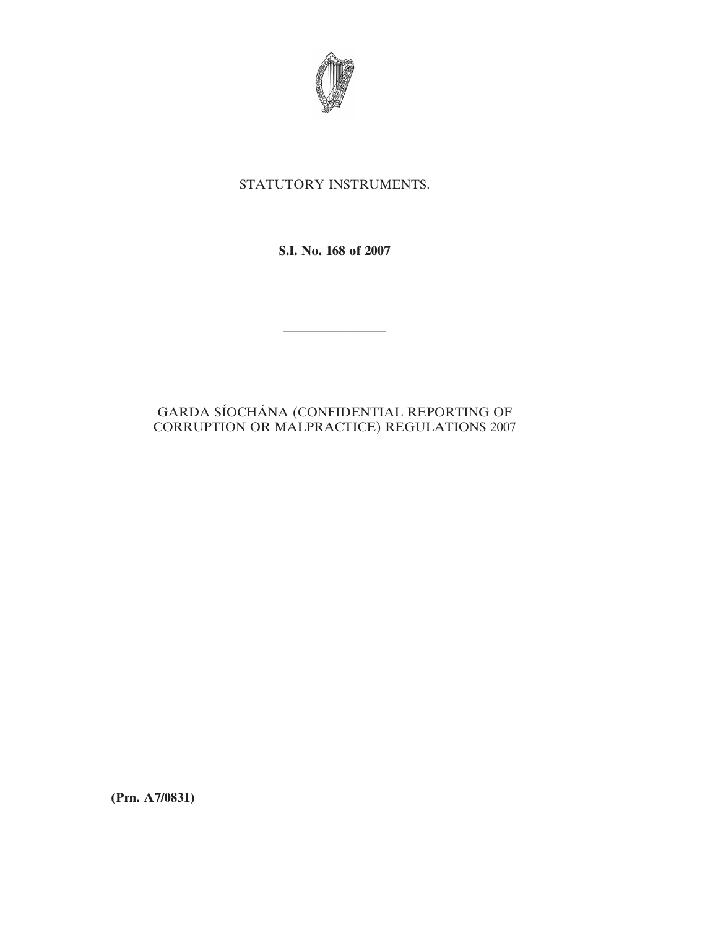

# STATUTORY INSTRUMENTS.

**S.I. No. 168 of 2007**

————————

# GARDA SÍOCHÁNA (CONFIDENTIAL REPORTING OF CORRUPTION OR MALPRACTICE) REGULATIONS 2007

**(Prn. A7/0831)**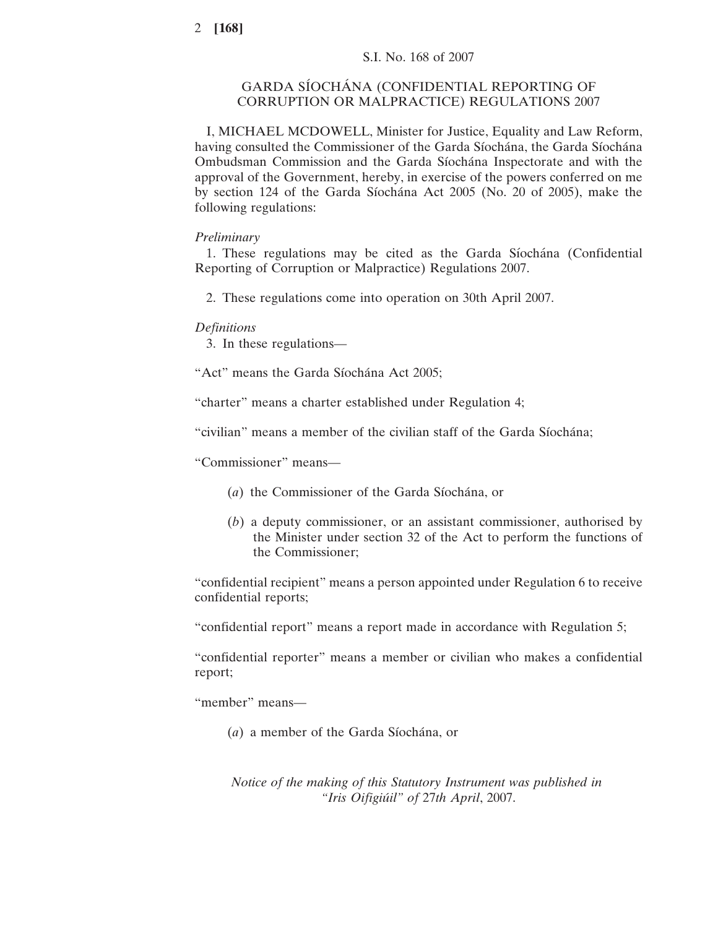# GARDA SÍOCHÁNA (CONFIDENTIAL REPORTING OF CORRUPTION OR MALPRACTICE) REGULATIONS 2007

I, MICHAEL MCDOWELL, Minister for Justice, Equality and Law Reform, having consulted the Commissioner of the Garda Síochána, the Garda Síochána Ombudsman Commission and the Garda Síochána Inspectorate and with the approval of the Government, hereby, in exercise of the powers conferred on me by section 124 of the Garda Síochána Act 2005 (No. 20 of 2005), make the following regulations:

# *Preliminary*

1. These regulations may be cited as the Garda Síochána (Confidential) Reporting of Corruption or Malpractice) Regulations 2007.

2. These regulations come into operation on 30th April 2007.

# *Definitions*

3. In these regulations—

"Act" means the Garda Síochána Act 2005;

"charter" means a charter established under Regulation 4;

"civilian" means a member of the civilian staff of the Garda Síochána;

"Commissioner" means—

- (*a*) the Commissioner of the Garda Síochána, or
- (*b*) a deputy commissioner, or an assistant commissioner, authorised by the Minister under section 32 of the Act to perform the functions of the Commissioner;

"confidential recipient" means a person appointed under Regulation 6 to receive confidential reports;

"confidential report" means a report made in accordance with Regulation 5;

"confidential reporter" means a member or civilian who makes a confidential report;

"member" means—

(*a*) a member of the Garda Síochána, or

*Notice of the making of this Statutory Instrument was published in "Iris Oifigiu´il" of* 27*th April*, 2007.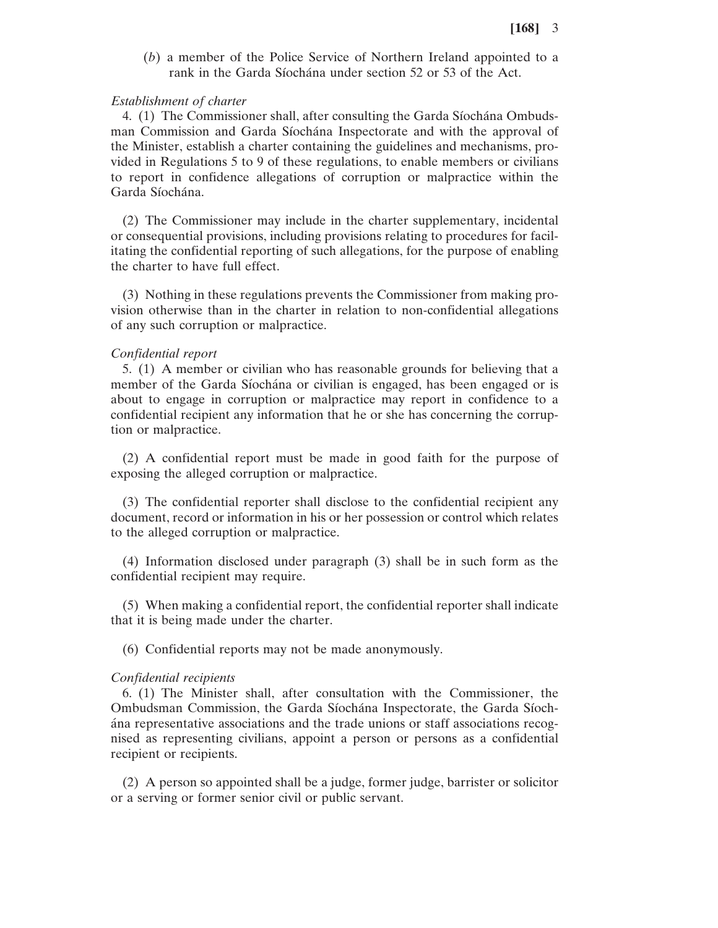(*b*) a member of the Police Service of Northern Ireland appointed to a rank in the Garda Síochána under section 52 or 53 of the Act.

#### *Establishment of charter*

4. (1) The Commissioner shall, after consulting the Garda Síochána Ombudsman Commission and Garda Síochána Inspectorate and with the approval of the Minister, establish a charter containing the guidelines and mechanisms, provided in Regulations 5 to 9 of these regulations, to enable members or civilians to report in confidence allegations of corruption or malpractice within the Garda Síochána.

(2) The Commissioner may include in the charter supplementary, incidental or consequential provisions, including provisions relating to procedures for facilitating the confidential reporting of such allegations, for the purpose of enabling the charter to have full effect.

(3) Nothing in these regulations prevents the Commissioner from making provision otherwise than in the charter in relation to non-confidential allegations of any such corruption or malpractice.

#### *Confidential report*

5. (1) A member or civilian who has reasonable grounds for believing that a member of the Garda Síochána or civilian is engaged, has been engaged or is about to engage in corruption or malpractice may report in confidence to a confidential recipient any information that he or she has concerning the corruption or malpractice.

(2) A confidential report must be made in good faith for the purpose of exposing the alleged corruption or malpractice.

(3) The confidential reporter shall disclose to the confidential recipient any document, record or information in his or her possession or control which relates to the alleged corruption or malpractice.

(4) Information disclosed under paragraph (3) shall be in such form as the confidential recipient may require.

(5) When making a confidential report, the confidential reporter shall indicate that it is being made under the charter.

(6) Confidential reports may not be made anonymously.

#### *Confidential recipients*

6. (1) The Minister shall, after consultation with the Commissioner, the Ombudsman Commission, the Garda Síochána Inspectorate, the Garda Síocha´na representative associations and the trade unions or staff associations recognised as representing civilians, appoint a person or persons as a confidential recipient or recipients.

(2) A person so appointed shall be a judge, former judge, barrister or solicitor or a serving or former senior civil or public servant.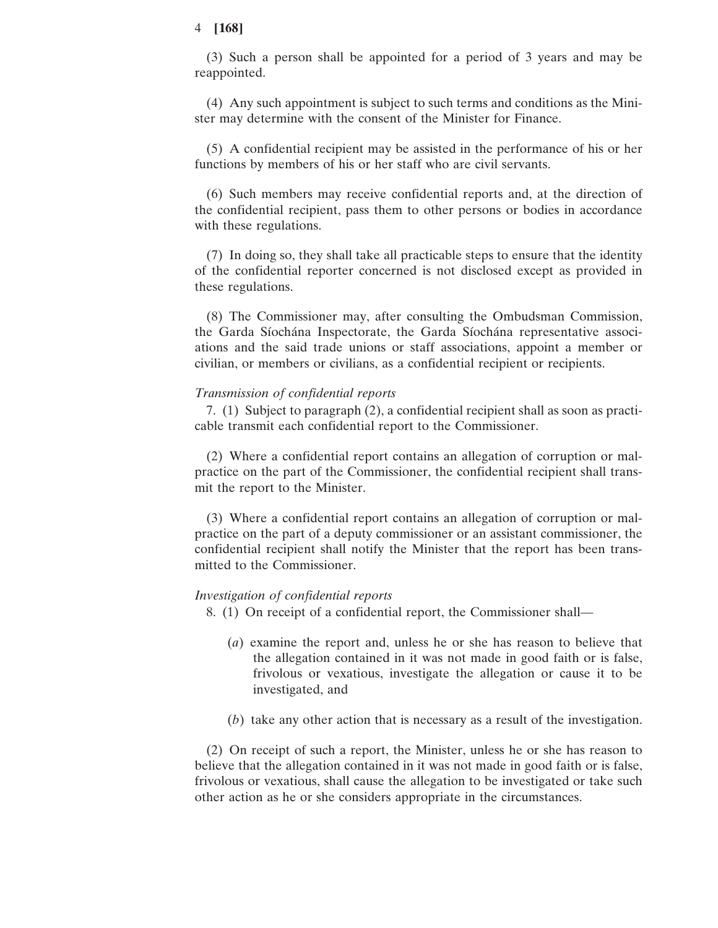## 4 **[168]**

(3) Such a person shall be appointed for a period of 3 years and may be reappointed.

(4) Any such appointment is subject to such terms and conditions as the Minister may determine with the consent of the Minister for Finance.

(5) A confidential recipient may be assisted in the performance of his or her functions by members of his or her staff who are civil servants.

(6) Such members may receive confidential reports and, at the direction of the confidential recipient, pass them to other persons or bodies in accordance with these regulations.

(7) In doing so, they shall take all practicable steps to ensure that the identity of the confidential reporter concerned is not disclosed except as provided in these regulations.

(8) The Commissioner may, after consulting the Ombudsman Commission, the Garda Síochána Inspectorate, the Garda Síochána representative associations and the said trade unions or staff associations, appoint a member or civilian, or members or civilians, as a confidential recipient or recipients.

## *Transmission of confidential reports*

7. (1) Subject to paragraph (2), a confidential recipient shall as soon as practicable transmit each confidential report to the Commissioner.

(2) Where a confidential report contains an allegation of corruption or malpractice on the part of the Commissioner, the confidential recipient shall transmit the report to the Minister.

(3) Where a confidential report contains an allegation of corruption or malpractice on the part of a deputy commissioner or an assistant commissioner, the confidential recipient shall notify the Minister that the report has been transmitted to the Commissioner.

## *Investigation of confidential reports*

8. (1) On receipt of a confidential report, the Commissioner shall—

- (*a*) examine the report and, unless he or she has reason to believe that the allegation contained in it was not made in good faith or is false, frivolous or vexatious, investigate the allegation or cause it to be investigated, and
- (*b*) take any other action that is necessary as a result of the investigation.

(2) On receipt of such a report, the Minister, unless he or she has reason to believe that the allegation contained in it was not made in good faith or is false, frivolous or vexatious, shall cause the allegation to be investigated or take such other action as he or she considers appropriate in the circumstances.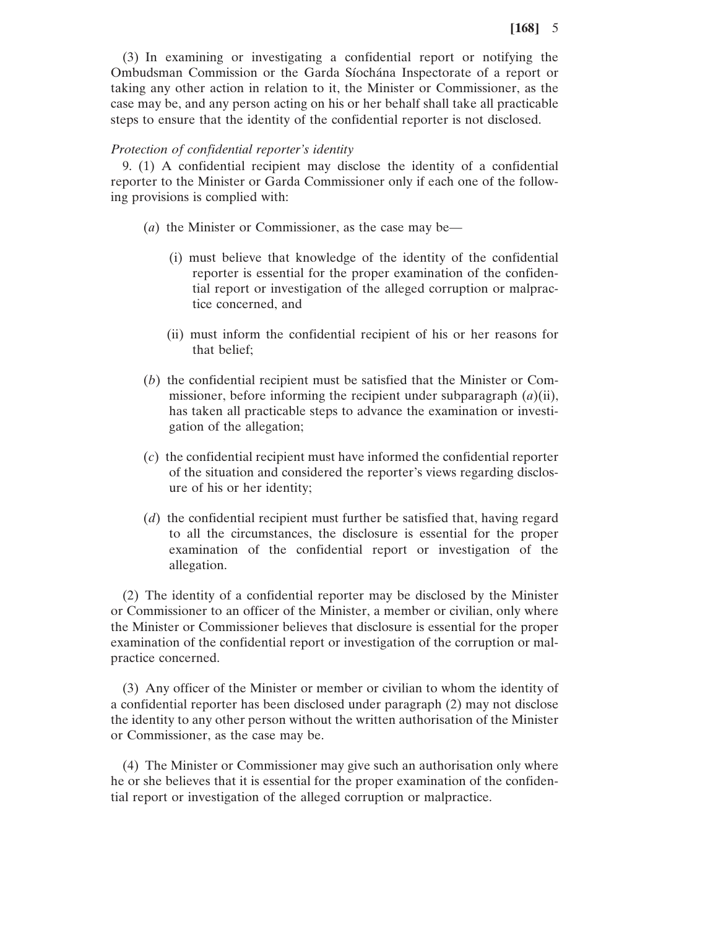(3) In examining or investigating a confidential report or notifying the Ombudsman Commission or the Garda Síochána Inspectorate of a report or taking any other action in relation to it, the Minister or Commissioner, as the case may be, and any person acting on his or her behalf shall take all practicable steps to ensure that the identity of the confidential reporter is not disclosed.

# *Protection of confidential reporter's identity*

9. (1) A confidential recipient may disclose the identity of a confidential reporter to the Minister or Garda Commissioner only if each one of the following provisions is complied with:

- (*a*) the Minister or Commissioner, as the case may be—
	- (i) must believe that knowledge of the identity of the confidential reporter is essential for the proper examination of the confidential report or investigation of the alleged corruption or malpractice concerned, and
	- (ii) must inform the confidential recipient of his or her reasons for that belief;
- (*b*) the confidential recipient must be satisfied that the Minister or Commissioner, before informing the recipient under subparagraph (*a*)(ii), has taken all practicable steps to advance the examination or investigation of the allegation;
- (*c*) the confidential recipient must have informed the confidential reporter of the situation and considered the reporter's views regarding disclosure of his or her identity;
- (*d*) the confidential recipient must further be satisfied that, having regard to all the circumstances, the disclosure is essential for the proper examination of the confidential report or investigation of the allegation.

(2) The identity of a confidential reporter may be disclosed by the Minister or Commissioner to an officer of the Minister, a member or civilian, only where the Minister or Commissioner believes that disclosure is essential for the proper examination of the confidential report or investigation of the corruption or malpractice concerned.

(3) Any officer of the Minister or member or civilian to whom the identity of a confidential reporter has been disclosed under paragraph (2) may not disclose the identity to any other person without the written authorisation of the Minister or Commissioner, as the case may be.

(4) The Minister or Commissioner may give such an authorisation only where he or she believes that it is essential for the proper examination of the confidential report or investigation of the alleged corruption or malpractice.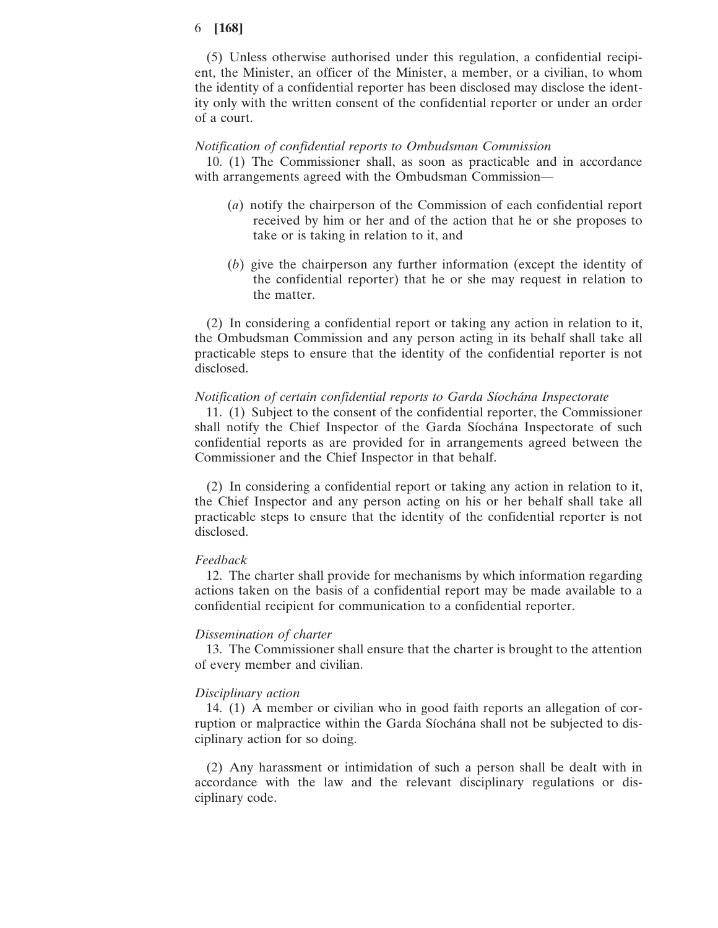## 6 **[168]**

(5) Unless otherwise authorised under this regulation, a confidential recipient, the Minister, an officer of the Minister, a member, or a civilian, to whom the identity of a confidential reporter has been disclosed may disclose the identity only with the written consent of the confidential reporter or under an order of a court.

#### *Notification of confidential reports to Ombudsman Commission*

10. (1) The Commissioner shall, as soon as practicable and in accordance with arrangements agreed with the Ombudsman Commission—

- (*a*) notify the chairperson of the Commission of each confidential report received by him or her and of the action that he or she proposes to take or is taking in relation to it, and
- (*b*) give the chairperson any further information (except the identity of the confidential reporter) that he or she may request in relation to the matter.

(2) In considering a confidential report or taking any action in relation to it, the Ombudsman Commission and any person acting in its behalf shall take all practicable steps to ensure that the identity of the confidential reporter is not disclosed.

#### *Notification of certain confidential reports to Garda Sı´ocha´na Inspectorate*

11. (1) Subject to the consent of the confidential reporter, the Commissioner shall notify the Chief Inspector of the Garda Siochana Inspectorate of such confidential reports as are provided for in arrangements agreed between the Commissioner and the Chief Inspector in that behalf.

(2) In considering a confidential report or taking any action in relation to it, the Chief Inspector and any person acting on his or her behalf shall take all practicable steps to ensure that the identity of the confidential reporter is not disclosed.

#### *Feedback*

12. The charter shall provide for mechanisms by which information regarding actions taken on the basis of a confidential report may be made available to a confidential recipient for communication to a confidential reporter.

## *Dissemination of charter*

13. The Commissioner shall ensure that the charter is brought to the attention of every member and civilian.

#### *Disciplinary action*

14. (1) A member or civilian who in good faith reports an allegation of corruption or malpractice within the Garda Síochána shall not be subjected to disciplinary action for so doing.

(2) Any harassment or intimidation of such a person shall be dealt with in accordance with the law and the relevant disciplinary regulations or disciplinary code.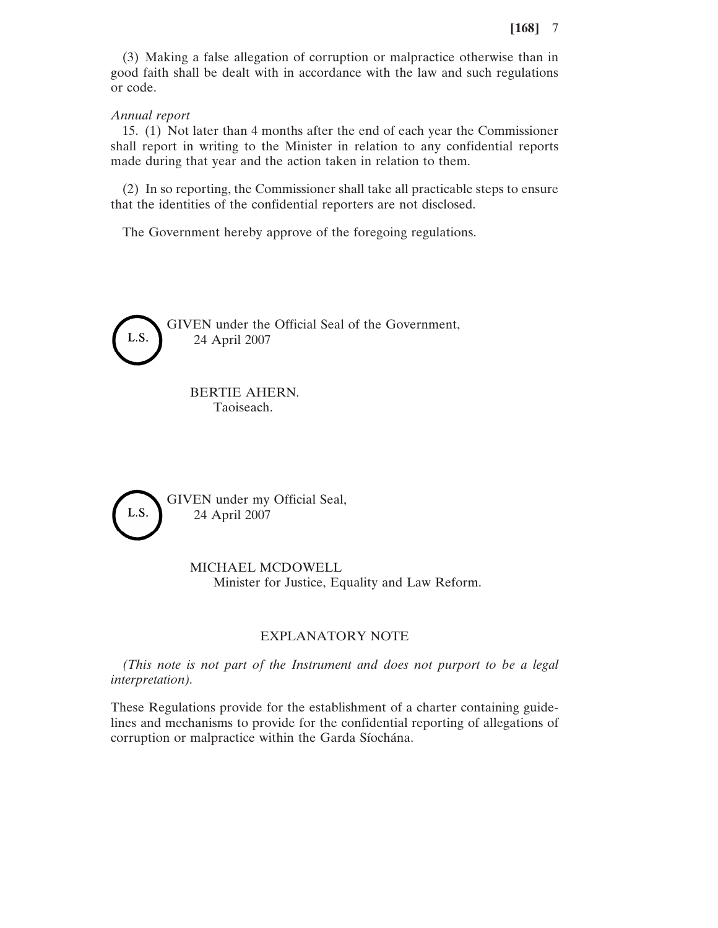(3) Making a false allegation of corruption or malpractice otherwise than in good faith shall be dealt with in accordance with the law and such regulations or code.

*Annual report*

15. (1) Not later than 4 months after the end of each year the Commissioner shall report in writing to the Minister in relation to any confidential reports made during that year and the action taken in relation to them.

(2) In so reporting, the Commissioner shall take all practicable steps to ensure that the identities of the confidential reporters are not disclosed.

The Government hereby approve of the foregoing regulations.



GIVEN under the Official Seal of the Government, 24 April 2007

BERTIE AHERN. Taoiseach.



GIVEN under my Official Seal, 24 April 2007

> MICHAEL MCDOWELL Minister for Justice, Equality and Law Reform.

## EXPLANATORY NOTE

*(This note is not part of the Instrument and does not purport to be a legal interpretation).*

These Regulations provide for the establishment of a charter containing guidelines and mechanisms to provide for the confidential reporting of allegations of corruption or malpractice within the Garda Síochána.